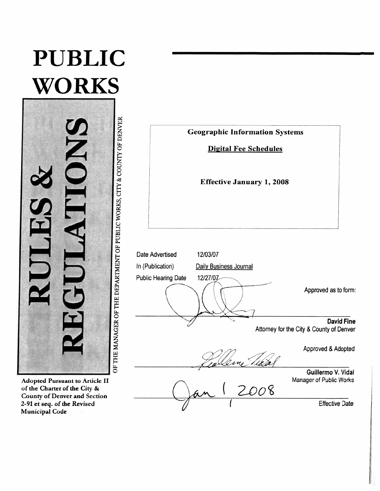

Adopted Pursuant to Article II of the Charter of the City & County of Denver and Section 2-91 et seq. of the Revised Municipal Code

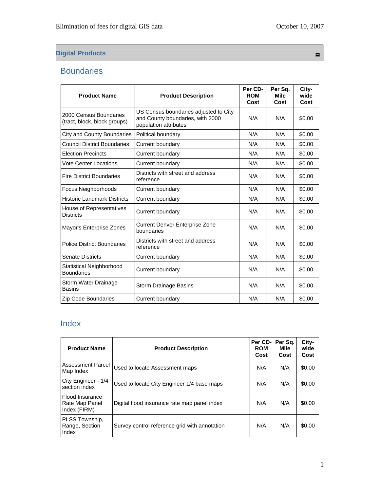#### **Digital Products**

#### **Boundaries**

| <b>Product Name</b>                                    | <b>Product Description</b>                                                                         | Per CD-<br><b>ROM</b><br>Cost | Per Sa.<br>Mile<br>Cost | City-<br>wide<br>Cost |
|--------------------------------------------------------|----------------------------------------------------------------------------------------------------|-------------------------------|-------------------------|-----------------------|
| 2000 Census Boundaries<br>(tract, block, block groups) | US Census boundaries adjusted to City<br>and County boundaries, with 2000<br>population attributes | N/A                           | N/A                     | \$0.00                |
| <b>City and County Boundaries</b>                      | Political boundary                                                                                 | N/A                           | N/A                     | \$0.00                |
| <b>Council District Boundaries</b>                     | Current boundary                                                                                   | N/A                           | N/A                     | \$0.00                |
| <b>Election Precincts</b>                              | Current boundary                                                                                   | N/A                           | N/A                     | \$0.00                |
| <b>Vote Center Locations</b>                           | Current boundary                                                                                   | N/A                           | N/A                     | \$0.00                |
| <b>Fire District Boundaries</b>                        | Districts with street and address<br>reference                                                     | N/A                           | N/A                     | \$0.00                |
| <b>Focus Neighborhoods</b>                             | Current boundary                                                                                   | N/A                           | N/A                     | \$0.00                |
| <b>Historic Landmark Districts</b>                     | Current boundary                                                                                   | N/A                           | N/A                     | \$0.00                |
| House of Representatives<br><b>Districts</b>           | Current boundary                                                                                   | N/A                           | N/A                     | \$0.00                |
| Mayor's Enterprise Zones                               | <b>Current Denver Enterprise Zone</b><br>boundaries                                                | N/A                           | N/A                     | \$0.00                |
| <b>Police District Boundaries</b>                      | Districts with street and address<br>reference                                                     | N/A                           | N/A                     | \$0.00                |
| <b>Senate Districts</b>                                | Current boundary                                                                                   | N/A                           | N/A                     | \$0.00                |
| Statistical Neighborhood<br><b>Boundaries</b>          | Current boundary                                                                                   | N/A                           | N/A                     | \$0.00                |
| Storm Water Drainage<br><b>Basins</b>                  | Storm Drainage Basins                                                                              | N/A                           | N/A                     | \$0.00                |
| <b>Zip Code Boundaries</b>                             | Current boundary                                                                                   | N/A                           | N/A                     | \$0.00                |

# Index

| <b>Product Name</b>                               | <b>Product Description</b>                    | Per CD-<br><b>ROM</b><br>Cost | Per Sq.<br>Mile<br>Cost | City-<br>wide<br>Cost |
|---------------------------------------------------|-----------------------------------------------|-------------------------------|-------------------------|-----------------------|
| <b>Assessment Parcel</b><br>Map Index             | Used to locate Assessment maps                | N/A                           | N/A                     | \$0.00                |
| City Engineer - 1/4<br>section index              | Used to locate City Engineer 1/4 base maps    | N/A                           | N/A                     | \$0.00                |
| Flood Insurance<br>Rate Map Panel<br>Index (FIRM) | Digital flood insurance rate map panel index  | N/A                           | N/A                     | \$0.00                |
| PLSS Township,<br>Range, Section<br>Index         | Survey control reference grid with annotation | N/A                           | N/A                     | \$0.00                |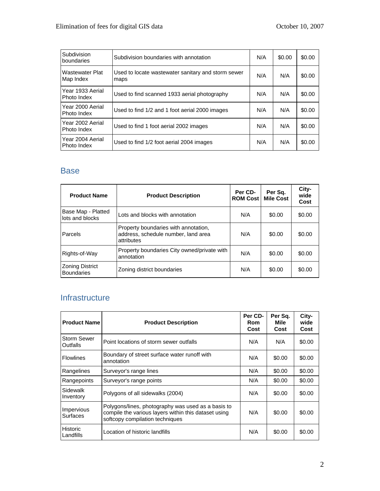| Subdivision<br>boundaries       | Subdivision boundaries with annotation                     | N/A | \$0.00 | \$0.00 |
|---------------------------------|------------------------------------------------------------|-----|--------|--------|
| Wastewater Plat<br>Map Index    | Used to locate wastewater sanitary and storm sewer<br>maps | N/A | N/A    | \$0.00 |
| Year 1933 Aerial<br>Photo Index | Used to find scanned 1933 aerial photography               | N/A | N/A    | \$0.00 |
| Year 2000 Aerial<br>Photo Index | Used to find 1/2 and 1 foot aerial 2000 images             | N/A | N/A    | \$0.00 |
| Year 2002 Aerial<br>Photo Index | Used to find 1 foot aerial 2002 images                     | N/A | N/A    | \$0.00 |
| Year 2004 Aerial<br>Photo Index | Used to find 1/2 foot aerial 2004 images                   | N/A | N/A    | \$0.00 |

#### Base

| <b>Product Name</b>                         | <b>Product Description</b>                                                                | Per CD-<br><b>ROM Cost</b> | Per Sq.<br><b>Mile Cost</b> | City-<br>wide<br>Cost |
|---------------------------------------------|-------------------------------------------------------------------------------------------|----------------------------|-----------------------------|-----------------------|
| Base Map - Platted<br>lots and blocks       | Lots and blocks with annotation                                                           | N/A                        | \$0.00                      | \$0.00                |
| <b>Parcels</b>                              | Property boundaries with annotation,<br>address, schedule number, land area<br>attributes | N/A                        | \$0.00                      | \$0.00                |
| Rights-of-Way                               | Property boundaries City owned/private with<br>annotation                                 | N/A                        | \$0.00                      | \$0.00                |
| <b>Zoning District</b><br><b>Boundaries</b> | Zoning district boundaries                                                                | N/A                        | \$0.00                      | \$0.00                |

#### Infrastructure

| <b>Product Name</b>                   | <b>Product Description</b>                                                                                                                    | Per CD-<br>Rom<br>Cost | Per Sq.<br>Mile<br>Cost | City-<br>wide<br>Cost |
|---------------------------------------|-----------------------------------------------------------------------------------------------------------------------------------------------|------------------------|-------------------------|-----------------------|
| <b>Storm Sewer</b><br><b>Outfalls</b> | Point locations of storm sewer outfalls                                                                                                       | N/A                    | N/A                     | \$0.00                |
| <b>Flowlines</b>                      | Boundary of street surface water runoff with<br>annotation                                                                                    | N/A                    | \$0.00                  | \$0.00                |
| Rangelines                            | Surveyor's range lines                                                                                                                        | N/A                    | \$0.00                  | \$0.00                |
| Rangepoints                           | Surveyor's range points                                                                                                                       | N/A                    | \$0.00                  | \$0.00                |
| Sidewalk<br>Inventory                 | Polygons of all sidewalks (2004)                                                                                                              | N/A                    | \$0.00                  | \$0.00                |
| Impervious<br>Surfaces                | Polygons/lines, photography was used as a basis to<br>compile the various layers within this dataset using<br>softcopy compilation techniques | N/A                    | \$0.00                  | \$0.00                |
| <b>Historic</b><br>Landfills          | Location of historic landfills                                                                                                                | N/A                    | \$0.00                  | \$0.00                |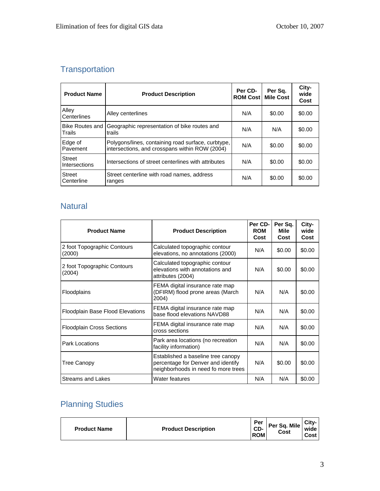# **Transportation**

| <b>Product Name</b>              | <b>Product Description</b>                                                                           | Per CD-<br><b>ROM Cost</b> | Per Sq.<br><b>Mile Cost</b> | City-<br>wide<br>Cost |
|----------------------------------|------------------------------------------------------------------------------------------------------|----------------------------|-----------------------------|-----------------------|
| Alley<br>Centerlines             | Alley centerlines                                                                                    | N/A                        | \$0.00                      | \$0.00                |
| <b>Bike Routes and</b><br>Trails | Geographic representation of bike routes and<br>trails                                               | N/A                        | N/A                         | \$0.00                |
| Edge of<br>Pavement              | Polygons/lines, containing road surface, curbtype,<br>intersections, and crosspans within ROW (2004) | N/A                        | \$0.00                      | \$0.00                |
| <b>Street</b><br>Intersections   | Intersections of street centerlines with attributes                                                  | N/A                        | \$0.00                      | \$0.00                |
| <b>Street</b><br>Centerline      | Street centerline with road names, address<br>ranges                                                 | N/A                        | \$0.00                      | \$0.00                |

# **Natural**

| <b>Product Name</b>                   | <b>Product Description</b>                                                                                      | Per CD-<br><b>ROM</b><br>Cost | Per Sq.<br>Mile<br>Cost | City-<br>wide<br>Cost |
|---------------------------------------|-----------------------------------------------------------------------------------------------------------------|-------------------------------|-------------------------|-----------------------|
| 2 foot Topographic Contours<br>(2000) | Calculated topographic contour<br>elevations, no annotations (2000)                                             | N/A                           | \$0.00                  | \$0.00                |
| 2 foot Topographic Contours<br>(2004) | Calculated topographic contour<br>elevations with annotations and<br>attributes (2004)                          | N/A                           | \$0.00                  | \$0.00                |
| <b>Floodplains</b>                    | FEMA digital insurance rate map<br>(DFIRM) flood prone areas (March<br>2004)                                    | N/A                           | N/A                     | \$0.00                |
| Floodplain Base Flood Elevations      | FEMA digital insurance rate map<br>base flood elevations NAVD88                                                 | N/A                           | N/A                     | \$0.00                |
| <b>Floodplain Cross Sections</b>      | FEMA digital insurance rate map<br>cross sections                                                               | N/A                           | N/A                     | \$0.00                |
| <b>Park Locations</b>                 | Park area locations (no recreation<br>facility information)                                                     | N/A                           | N/A                     | \$0.00                |
| <b>Tree Canopy</b>                    | Established a baseline tree canopy<br>percentage for Denver and identify<br>neighborhoods in need fo more trees | N/A                           | \$0.00                  | \$0.00                |
| <b>Streams and Lakes</b>              | Water features                                                                                                  | N/A                           | N/A                     | \$0.00                |

# Planning Studies

| <b>Product Name</b> | <b>Product Description</b> | Per<br>CD-<br><b>ROM</b> | Per Sq. Mile<br>Cost | City-<br>wide<br>Cost |
|---------------------|----------------------------|--------------------------|----------------------|-----------------------|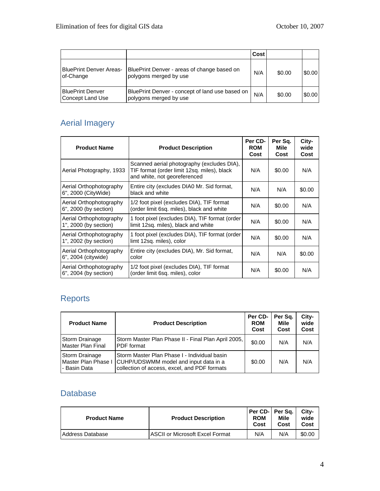|                                             |                                                                           | Cost |        |        |
|---------------------------------------------|---------------------------------------------------------------------------|------|--------|--------|
| <b>BluePrint Denver Areas-</b><br>of-Change | BluePrint Denver - areas of change based on<br>polygons merged by use     | N/A  | \$0.00 | \$0.00 |
| <b>BluePrint Denver</b><br>Concept Land Use | BluePrint Denver - concept of land use based on<br>polygons merged by use | N/A  | \$0.00 | \$0.00 |

#### Aerial Imagery

| <b>Product Name</b>                              | <b>Product Description</b>                                                                                                | Per CD-<br><b>ROM</b><br>Cost | Per Sq.<br>Mile<br>Cost | City-<br>wide<br>Cost |
|--------------------------------------------------|---------------------------------------------------------------------------------------------------------------------------|-------------------------------|-------------------------|-----------------------|
| Aerial Photography, 1933                         | Scanned aerial photography (excludes DIA),<br>TIF format (order limit 12sg. miles), black<br>and white, not georeferenced | N/A                           | \$0.00                  | N/A                   |
| Aerial Orthophotography<br>6", 2000 (CityWide)   | Entire city (excludes DIA0 Mr. Sid format,<br>black and white                                                             | N/A                           | N/A                     | \$0.00                |
| Aerial Orthophotography<br>6", 2000 (by section) | 1/2 foot pixel (excludes DIA), TIF format<br>(order limit 6sq. miles), black and white                                    | N/A                           | \$0.00                  | N/A                   |
| Aerial Orthophotography<br>1", 2000 (by section) | 1 foot pixel (excludes DIA), TIF format (order<br>limit 12sq. miles), black and white                                     | N/A                           | \$0.00                  | N/A                   |
| Aerial Orthophotography<br>1", 2002 (by section) | 1 foot pixel (excludes DIA), TIF format (order<br>limt 12sq. miles), color                                                | N/A                           | \$0.00                  | N/A                   |
| Aerial Orthophotography<br>6", 2004 (citywide)   | Entire city (excludes DIA), Mr. Sid format,<br>color                                                                      | N/A                           | N/A                     | \$0.00                |
| Aerial Orthophotography<br>6", 2004 (by section) | 1/2 foot pixel (excludes DIA), TIF format<br>(order limit 6sq. miles), color                                              | N/A                           | \$0.00                  | N/A                   |

# Reports

| <b>Product Name</b>                   | <b>Product Description</b>                                                                                                                                | Per CD-<br><b>ROM</b><br>Cost | Per Sq.<br>Mile<br>Cost | City-<br>wide<br>Cost |
|---------------------------------------|-----------------------------------------------------------------------------------------------------------------------------------------------------------|-------------------------------|-------------------------|-----------------------|
| Storm Drainage<br>Master Plan Final   | Storm Master Plan Phase II - Final Plan April 2005,<br><b>PDF</b> format                                                                                  | \$0.00                        | N/A                     | N/A                   |
| <b>Storm Drainage</b><br>- Basin Data | Storm Master Plan Phase I - Individual basin<br>Master Plan Phase I CUHP/UDSWMM model and input data in a<br>collection of access, excel, and PDF formats | \$0.00                        | N/A                     | N/A                   |

#### Database

| <b>Product Name</b> | <b>Product Description</b>              | Per CD-   Per Sq.<br><b>ROM</b><br>Cost | Mile<br>Cost | City-<br>wide<br>Cost |
|---------------------|-----------------------------------------|-----------------------------------------|--------------|-----------------------|
| Address Database    | <b>IASCII or Microsoft Excel Format</b> | N/A                                     | N/A          | \$0.00                |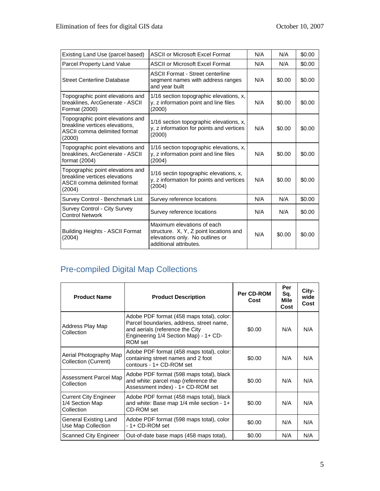| Existing Land Use (parcel based)<br><b>ASCII or Microsoft Excel Format</b>                                   |                                                                                                                                   | N/A | N/A    | \$0.00 |
|--------------------------------------------------------------------------------------------------------------|-----------------------------------------------------------------------------------------------------------------------------------|-----|--------|--------|
| Parcel Property Land Value                                                                                   | <b>ASCII or Microsoft Excel Format</b>                                                                                            | N/A | N/A    | \$0.00 |
| <b>Street Centerline Database</b>                                                                            | <b>ASCII Format - Street centerline</b><br>segment names with address ranges<br>and year built                                    | N/A | \$0.00 | \$0.00 |
| Topographic point elevations and<br>breaklines, ArcGenerate - ASCII<br>Format (2000)                         | 1/16 section topographic elevations, x,<br>y, z information point and line files<br>(2000)                                        | N/A | \$0.00 | \$0.00 |
| Topographic point elevations and<br>breakline vertices elevations,<br>ASCII comma delimited format<br>(2000) | 1/16 section topographic elevations, x,<br>y, z information for points and vertices<br>(2000)                                     | N/A | \$0.00 | \$0.00 |
| Topographic point elevations and<br>breaklines, ArcGenerate - ASCII<br>format (2004)                         | 1/16 section topographic elevations, x,<br>y, z information point and line files<br>(2004)                                        | N/A | \$0.00 | \$0.00 |
| Topographic point elevations and<br>breakline vertices elevations<br>ASCII comma delimited format<br>(2004)  | 1/16 sectin topographic elevations, x,<br>y, z information for points and vertices<br>(2004)                                      | N/A | \$0.00 | \$0.00 |
| Survey Control - Benchmark List                                                                              | Survey reference locations                                                                                                        | N/A | N/A    | \$0.00 |
| Survey Control - City Survey<br><b>Control Network</b>                                                       | Survey reference locations                                                                                                        | N/A | N/A    | \$0.00 |
| <b>Building Heights - ASCII Format</b><br>(2004)                                                             | Maximum elevations of each<br>structure. X, Y, Z point locations and<br>elevations only. No outlines or<br>additional attributes. | N/A | \$0.00 | \$0.00 |

# Pre-compiled Digital Map Collections

| <b>Product Name</b>                                           | <b>Product Description</b>                                                                                                                                                   | Per CD-ROM<br>Cost | Per<br>Sq.<br>Mile<br>Cost | City-<br>wide<br>Cost |
|---------------------------------------------------------------|------------------------------------------------------------------------------------------------------------------------------------------------------------------------------|--------------------|----------------------------|-----------------------|
| Address Play Map<br>Collection                                | Adobe PDF format (458 maps total), color:<br>Parcel boundaries, address, street name,<br>and aerials (reference the City<br>Engineering 1/4 Section Map) - 1+ CD-<br>ROM set | \$0.00             | N/A                        | N/A                   |
| Aerial Photography Map<br>Collection (Current)                | Adobe PDF format (458 maps total), color:<br>containing street names and 2 foot<br>contours - 1+ CD-ROM set                                                                  | \$0.00             | N/A                        | N/A                   |
| Assessment Parcel Map<br>Collection                           | Adobe PDF format (598 maps total), black<br>and white: parcel map (reference the<br>Assessment index) - 1+ CD-ROM set                                                        | \$0.00             | N/A                        | N/A                   |
| <b>Current City Engineer</b><br>1/4 Section Map<br>Collection | Adobe PDF format (458 maps total), black<br>and white: Base map 1/4 mile section - 1+<br>CD-ROM set                                                                          | \$0.00             | N/A                        | N/A                   |
| General Existing Land<br>Use Map Collection                   | Adobe PDF format (598 maps total), color<br>- 1+ CD-ROM set                                                                                                                  | \$0.00             | N/A                        | N/A                   |
| <b>Scanned City Engineer</b>                                  | Out-of-date base maps (458 maps total),                                                                                                                                      | \$0.00             | N/A                        | N/A                   |